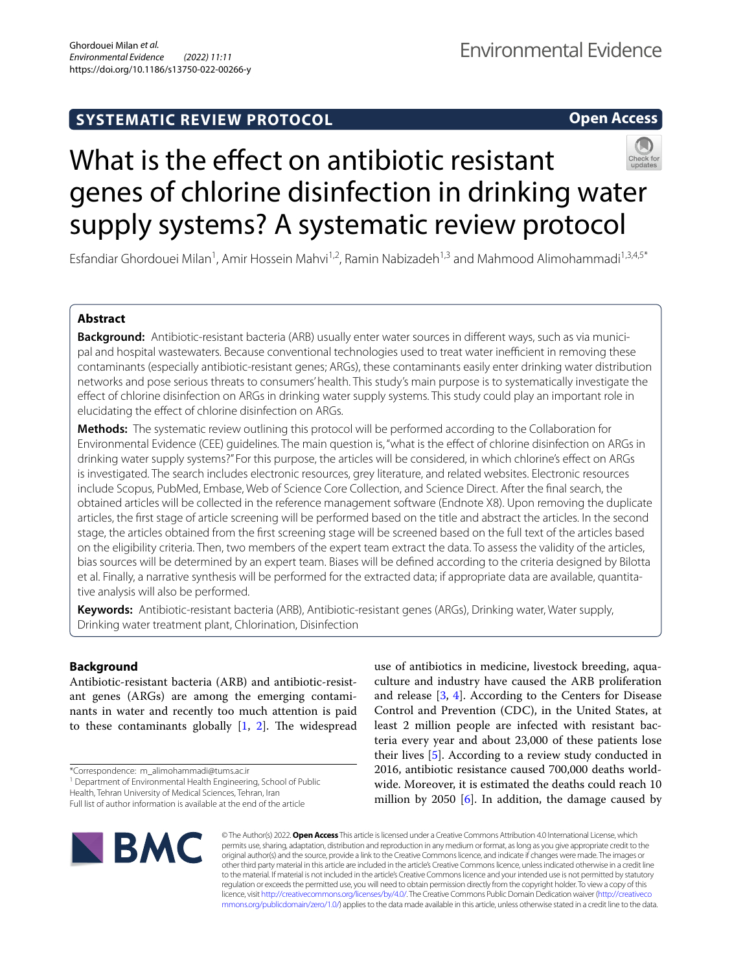**Open Access**

# What is the effect on antibiotic resistant genes of chlorine disinfection in drinking water supply systems? A systematic review protocol

Esfandiar Ghordouei Milan<sup>1</sup>, Amir Hossein Mahvi<sup>1,2</sup>, Ramin Nabizadeh<sup>1,3</sup> and Mahmood Alimohammadi<sup>1,3,4,5\*</sup>

# **Abstract**

**Background:** Antibiotic-resistant bacteria (ARB) usually enter water sources in diferent ways, such as via municipal and hospital wastewaters. Because conventional technologies used to treat water inefficient in removing these contaminants (especially antibiotic-resistant genes; ARGs), these contaminants easily enter drinking water distribution networks and pose serious threats to consumers' health. This study's main purpose is to systematically investigate the efect of chlorine disinfection on ARGs in drinking water supply systems. This study could play an important role in elucidating the efect of chlorine disinfection on ARGs.

**Methods:** The systematic review outlining this protocol will be performed according to the Collaboration for Environmental Evidence (CEE) guidelines. The main question is, "what is the efect of chlorine disinfection on ARGs in drinking water supply systems?" For this purpose, the articles will be considered, in which chlorine's efect on ARGs is investigated. The search includes electronic resources, grey literature, and related websites. Electronic resources include Scopus, PubMed, Embase, Web of Science Core Collection, and Science Direct. After the fnal search, the obtained articles will be collected in the reference management software (Endnote X8). Upon removing the duplicate articles, the frst stage of article screening will be performed based on the title and abstract the articles. In the second stage, the articles obtained from the frst screening stage will be screened based on the full text of the articles based on the eligibility criteria. Then, two members of the expert team extract the data. To assess the validity of the articles, bias sources will be determined by an expert team. Biases will be defned according to the criteria designed by Bilotta et al. Finally, a narrative synthesis will be performed for the extracted data; if appropriate data are available, quantitative analysis will also be performed.

**Keywords:** Antibiotic-resistant bacteria (ARB), Antibiotic-resistant genes (ARGs), Drinking water, Water supply, Drinking water treatment plant, Chlorination, Disinfection

## **Background**

Antibiotic-resistant bacteria (ARB) and antibiotic-resistant genes (ARGs) are among the emerging contaminants in water and recently too much attention is paid to these contaminants globally  $[1, 2]$  $[1, 2]$  $[1, 2]$  $[1, 2]$ . The widespread

<sup>1</sup> Department of Environmental Health Engineering, School of Public

use of antibiotics in medicine, livestock breeding, aquaculture and industry have caused the ARB proliferation and release  $[3, 4]$  $[3, 4]$  $[3, 4]$ . According to the Centers for Disease Control and Prevention (CDC), in the United States, at least 2 million people are infected with resistant bacteria every year and about 23,000 of these patients lose their lives [\[5](#page-7-4)]. According to a review study conducted in 2016, antibiotic resistance caused 700,000 deaths worldwide. Moreover, it is estimated the deaths could reach 10 million by 2050 [[6\]](#page-7-5). In addition, the damage caused by



© The Author(s) 2022. **Open Access** This article is licensed under a Creative Commons Attribution 4.0 International License, which permits use, sharing, adaptation, distribution and reproduction in any medium or format, as long as you give appropriate credit to the original author(s) and the source, provide a link to the Creative Commons licence, and indicate if changes were made. The images or other third party material in this article are included in the article's Creative Commons licence, unless indicated otherwise in a credit line to the material. If material is not included in the article's Creative Commons licence and your intended use is not permitted by statutory regulation or exceeds the permitted use, you will need to obtain permission directly from the copyright holder. To view a copy of this licence, visit [http://creativecommons.org/licenses/by/4.0/.](http://creativecommons.org/licenses/by/4.0/) The Creative Commons Public Domain Dedication waiver ([http://creativeco](http://creativecommons.org/publicdomain/zero/1.0/) [mmons.org/publicdomain/zero/1.0/](http://creativecommons.org/publicdomain/zero/1.0/)) applies to the data made available in this article, unless otherwise stated in a credit line to the data.

<sup>\*</sup>Correspondence: m\_alimohammadi@tums.ac.ir

Health, Tehran University of Medical Sciences, Tehran, Iran

Full list of author information is available at the end of the article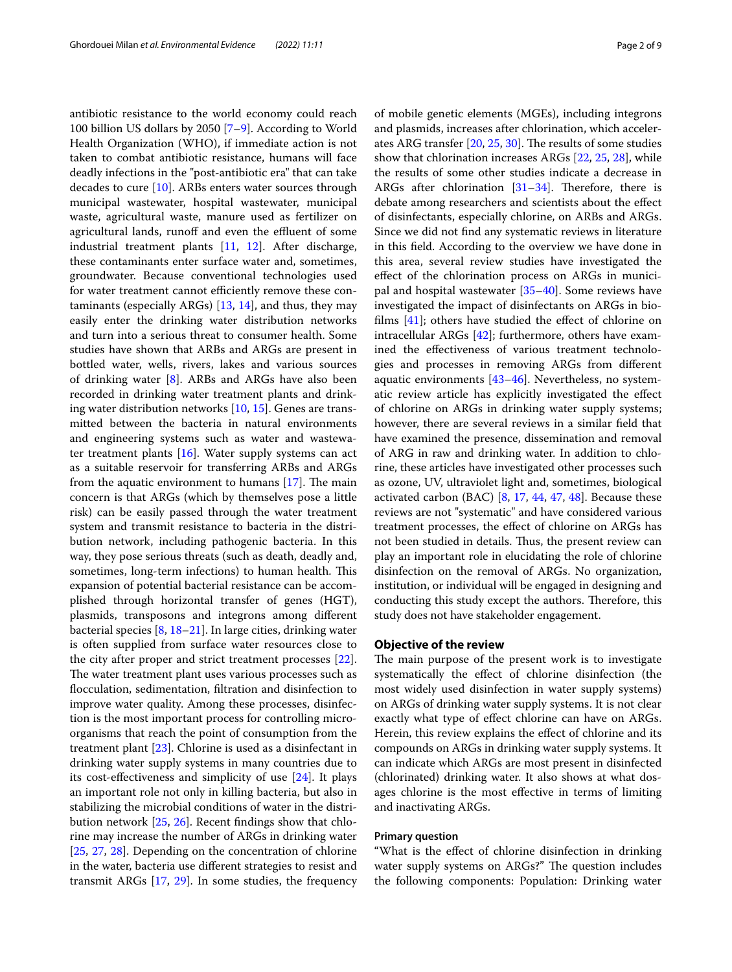antibiotic resistance to the world economy could reach 100 billion US dollars by 2050 [\[7–](#page-7-6)[9\]](#page-7-7). According to World Health Organization (WHO), if immediate action is not taken to combat antibiotic resistance, humans will face deadly infections in the "post-antibiotic era" that can take decades to cure [\[10\]](#page-7-8). ARBs enters water sources through municipal wastewater, hospital wastewater, municipal waste, agricultural waste, manure used as fertilizer on agricultural lands, runoff and even the effluent of some industrial treatment plants [[11](#page-7-9), [12\]](#page-7-10). After discharge, these contaminants enter surface water and, sometimes, groundwater. Because conventional technologies used for water treatment cannot efficiently remove these contaminants (especially ARGs) [\[13](#page-7-11), [14\]](#page-7-12), and thus, they may easily enter the drinking water distribution networks and turn into a serious threat to consumer health. Some studies have shown that ARBs and ARGs are present in bottled water, wells, rivers, lakes and various sources of drinking water [\[8](#page-7-13)]. ARBs and ARGs have also been recorded in drinking water treatment plants and drinking water distribution networks [\[10,](#page-7-8) [15](#page-7-14)]. Genes are transmitted between the bacteria in natural environments and engineering systems such as water and wastewater treatment plants [\[16](#page-7-15)]. Water supply systems can act as a suitable reservoir for transferring ARBs and ARGs from the aquatic environment to humans  $[17]$  $[17]$ . The main concern is that ARGs (which by themselves pose a little risk) can be easily passed through the water treatment system and transmit resistance to bacteria in the distribution network, including pathogenic bacteria. In this way, they pose serious threats (such as death, deadly and, sometimes, long-term infections) to human health. This expansion of potential bacterial resistance can be accomplished through horizontal transfer of genes (HGT), plasmids, transposons and integrons among diferent bacterial species [[8,](#page-7-13) [18](#page-7-17)[–21\]](#page-7-18). In large cities, drinking water is often supplied from surface water resources close to the city after proper and strict treatment processes [\[22](#page-7-19)]. The water treatment plant uses various processes such as focculation, sedimentation, fltration and disinfection to improve water quality. Among these processes, disinfection is the most important process for controlling microorganisms that reach the point of consumption from the treatment plant [\[23](#page-7-20)]. Chlorine is used as a disinfectant in drinking water supply systems in many countries due to its cost-efectiveness and simplicity of use [[24\]](#page-7-21). It plays an important role not only in killing bacteria, but also in stabilizing the microbial conditions of water in the distribution network [\[25](#page-7-22), [26](#page-7-23)]. Recent fndings show that chlorine may increase the number of ARGs in drinking water [[25,](#page-7-22) [27,](#page-7-24) [28\]](#page-7-25). Depending on the concentration of chlorine in the water, bacteria use diferent strategies to resist and transmit ARGs [\[17,](#page-7-16) [29\]](#page-7-26). In some studies, the frequency of mobile genetic elements (MGEs), including integrons and plasmids, increases after chlorination, which accelerates ARG transfer  $[20, 25, 30]$  $[20, 25, 30]$  $[20, 25, 30]$  $[20, 25, 30]$  $[20, 25, 30]$ . The results of some studies show that chlorination increases ARGs [[22,](#page-7-19) [25](#page-7-22), [28\]](#page-7-25), while the results of some other studies indicate a decrease in ARGs after chlorination  $[31-34]$  $[31-34]$  $[31-34]$ . Therefore, there is debate among researchers and scientists about the efect of disinfectants, especially chlorine, on ARBs and ARGs. Since we did not fnd any systematic reviews in literature in this feld. According to the overview we have done in this area, several review studies have investigated the efect of the chlorination process on ARGs in municipal and hospital wastewater [[35–](#page-7-31)[40\]](#page-8-0). Some reviews have investigated the impact of disinfectants on ARGs in biofilms  $[41]$  $[41]$  $[41]$ ; others have studied the effect of chlorine on intracellular ARGs [[42\]](#page-8-2); furthermore, others have examined the efectiveness of various treatment technologies and processes in removing ARGs from diferent aquatic environments [[43](#page-8-3)[–46](#page-8-4)]. Nevertheless, no systematic review article has explicitly investigated the efect of chlorine on ARGs in drinking water supply systems; however, there are several reviews in a similar feld that have examined the presence, dissemination and removal of ARG in raw and drinking water. In addition to chlorine, these articles have investigated other processes such as ozone, UV, ultraviolet light and, sometimes, biological activated carbon (BAC)  $[8, 17, 44, 47, 48]$  $[8, 17, 44, 47, 48]$  $[8, 17, 44, 47, 48]$  $[8, 17, 44, 47, 48]$  $[8, 17, 44, 47, 48]$  $[8, 17, 44, 47, 48]$  $[8, 17, 44, 47, 48]$  $[8, 17, 44, 47, 48]$  $[8, 17, 44, 47, 48]$ . Because these reviews are not "systematic" and have considered various treatment processes, the efect of chlorine on ARGs has not been studied in details. Thus, the present review can play an important role in elucidating the role of chlorine disinfection on the removal of ARGs. No organization, institution, or individual will be engaged in designing and conducting this study except the authors. Therefore, this study does not have stakeholder engagement.

## **Objective of the review**

The main purpose of the present work is to investigate systematically the efect of chlorine disinfection (the most widely used disinfection in water supply systems) on ARGs of drinking water supply systems. It is not clear exactly what type of efect chlorine can have on ARGs. Herein, this review explains the effect of chlorine and its compounds on ARGs in drinking water supply systems. It can indicate which ARGs are most present in disinfected (chlorinated) drinking water. It also shows at what dosages chlorine is the most efective in terms of limiting and inactivating ARGs.

## **Primary question**

"What is the efect of chlorine disinfection in drinking water supply systems on ARGs?" The question includes the following components: Population: Drinking water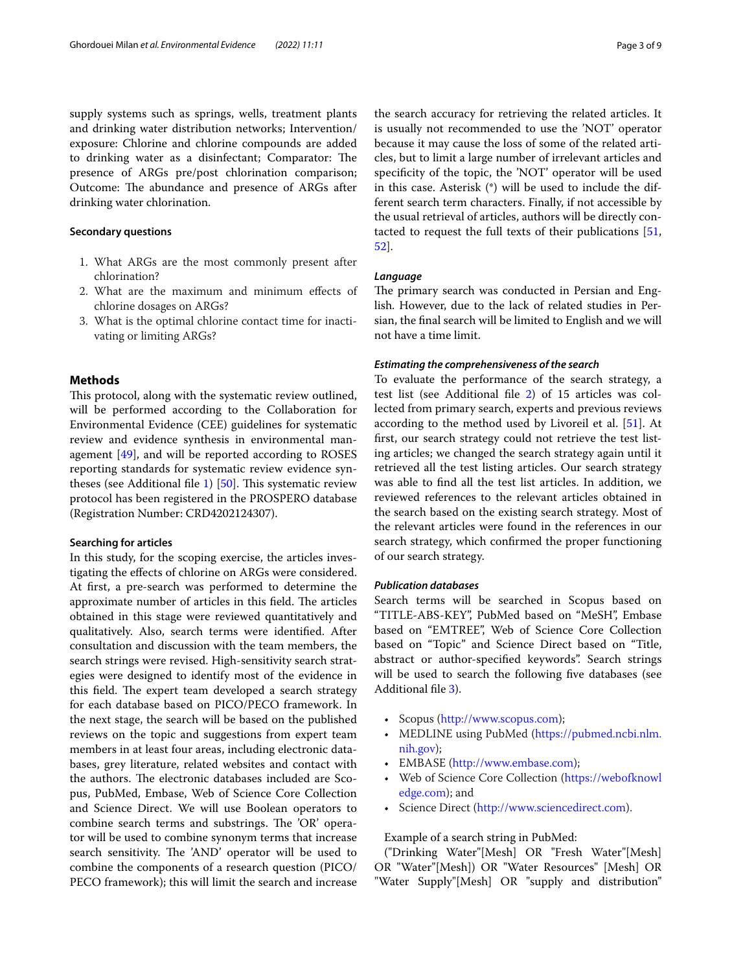supply systems such as springs, wells, treatment plants and drinking water distribution networks; Intervention/ exposure: Chlorine and chlorine compounds are added to drinking water as a disinfectant; Comparator: The presence of ARGs pre/post chlorination comparison; Outcome: The abundance and presence of ARGs after drinking water chlorination.

## **Secondary questions**

- 1. What ARGs are the most commonly present after chlorination?
- 2. What are the maximum and minimum efects of chlorine dosages on ARGs?
- 3. What is the optimal chlorine contact time for inactivating or limiting ARGs?

## **Methods**

This protocol, along with the systematic review outlined, will be performed according to the Collaboration for Environmental Evidence (CEE) guidelines for systematic review and evidence synthesis in environmental management [\[49](#page-8-8)], and will be reported according to ROSES reporting standards for systematic review evidence syn-theses (see Additional file [1](#page-6-0))  $[50]$  $[50]$ . This systematic review protocol has been registered in the PROSPERO database (Registration Number: CRD4202124307).

#### **Searching for articles**

In this study, for the scoping exercise, the articles investigating the efects of chlorine on ARGs were considered. At first, a pre-search was performed to determine the approximate number of articles in this field. The articles obtained in this stage were reviewed quantitatively and qualitatively. Also, search terms were identifed. After consultation and discussion with the team members, the search strings were revised. High-sensitivity search strategies were designed to identify most of the evidence in this field. The expert team developed a search strategy for each database based on PICO/PECO framework. In the next stage, the search will be based on the published reviews on the topic and suggestions from expert team members in at least four areas, including electronic databases, grey literature, related websites and contact with the authors. The electronic databases included are Scopus, PubMed, Embase, Web of Science Core Collection and Science Direct. We will use Boolean operators to combine search terms and substrings. The 'OR' operator will be used to combine synonym terms that increase search sensitivity. The 'AND' operator will be used to combine the components of a research question (PICO/ PECO framework); this will limit the search and increase

the search accuracy for retrieving the related articles. It is usually not recommended to use the 'NOT' operator because it may cause the loss of some of the related articles, but to limit a large number of irrelevant articles and specifcity of the topic, the 'NOT' operator will be used in this case. Asterisk (\*) will be used to include the different search term characters. Finally, if not accessible by the usual retrieval of articles, authors will be directly contacted to request the full texts of their publications [[51](#page-8-10), [52\]](#page-8-11).

#### *Language*

The primary search was conducted in Persian and English. However, due to the lack of related studies in Persian, the fnal search will be limited to English and we will not have a time limit.

## *Estimating the comprehensiveness of the search*

To evaluate the performance of the search strategy, a test list (see Additional fle [2\)](#page-6-1) of 15 articles was collected from primary search, experts and previous reviews according to the method used by Livoreil et al. [[51\]](#page-8-10). At frst, our search strategy could not retrieve the test listing articles; we changed the search strategy again until it retrieved all the test listing articles. Our search strategy was able to fnd all the test list articles. In addition, we reviewed references to the relevant articles obtained in the search based on the existing search strategy. Most of the relevant articles were found in the references in our search strategy, which confrmed the proper functioning of our search strategy.

#### *Publication databases*

Search terms will be searched in Scopus based on "TITLE-ABS-KEY", PubMed based on "MeSH", Embase based on "EMTREE", Web of Science Core Collection based on "Topic" and Science Direct based on "Title, abstract or author-specifed keywords". Search strings will be used to search the following five databases (see Additional fle [3](#page-6-2)).

- Scopus ([http://www.scopus.com\)](http://www.scopus.com);
- MEDLINE using PubMed ([https://pubmed.ncbi.nlm.](https://pubmed.ncbi.nlm.nih.gov) [nih.gov](https://pubmed.ncbi.nlm.nih.gov));
- EMBASE [\(http://www.embase.com\)](http://www.embase.com);
- Web of Science Core Collection ([https://webofknowl](https://webofknowledge.com) [edge.com](https://webofknowledge.com)); and
- Science Direct [\(http://www.sciencedirect.com](http://www.sciencedirect.com)).

#### Example of a search string in PubMed:

("Drinking Water"[Mesh] OR "Fresh Water"[Mesh] OR "Water"[Mesh]) OR "Water Resources" [Mesh] OR "Water Supply"[Mesh] OR "supply and distribution"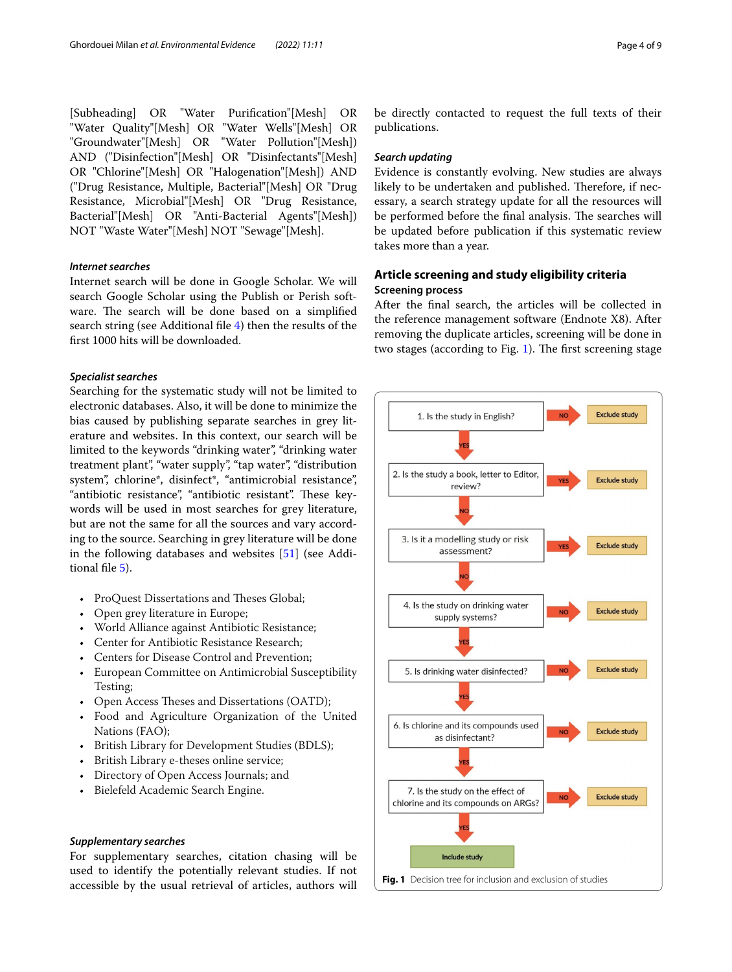[Subheading] OR "Water Purifcation"[Mesh] OR "Water Quality"[Mesh] OR "Water Wells"[Mesh] OR "Groundwater"[Mesh] OR "Water Pollution"[Mesh]) AND ("Disinfection"[Mesh] OR "Disinfectants"[Mesh] OR "Chlorine"[Mesh] OR "Halogenation"[Mesh]) AND ("Drug Resistance, Multiple, Bacterial"[Mesh] OR "Drug Resistance, Microbial"[Mesh] OR "Drug Resistance, Bacterial"[Mesh] OR "Anti-Bacterial Agents"[Mesh]) NOT "Waste Water"[Mesh] NOT "Sewage"[Mesh].

## *Internet searches*

Internet search will be done in Google Scholar. We will search Google Scholar using the Publish or Perish software. The search will be done based on a simplified search string (see Additional fle [4\)](#page-6-3) then the results of the frst 1000 hits will be downloaded.

## *Specialist searches*

Searching for the systematic study will not be limited to electronic databases. Also, it will be done to minimize the bias caused by publishing separate searches in grey literature and websites. In this context, our search will be limited to the keywords "drinking water", "drinking water treatment plant", "water supply", "tap water", "distribution system", chlorine\*, disinfect\*, "antimicrobial resistance", "antibiotic resistance", "antibiotic resistant". These keywords will be used in most searches for grey literature, but are not the same for all the sources and vary according to the source. Searching in grey literature will be done in the following databases and websites [\[51](#page-8-10)] (see Additional fle [5](#page-6-4)).

- ProQuest Dissertations and Theses Global;
- Open grey literature in Europe;
- World Alliance against Antibiotic Resistance;
- Center for Antibiotic Resistance Research;
- Centers for Disease Control and Prevention;
- European Committee on Antimicrobial Susceptibility Testing;
- Open Access Theses and Dissertations (OATD);
- Food and Agriculture Organization of the United Nations (FAO);
- British Library for Development Studies (BDLS);
- British Library e-theses online service;
- Directory of Open Access Journals; and
- Bielefeld Academic Search Engine.

## *Supplementary searches*

<span id="page-3-0"></span>For supplementary searches, citation chasing will be used to identify the potentially relevant studies. If not accessible by the usual retrieval of articles, authors will

be directly contacted to request the full texts of their publications.

#### *Search updating*

Evidence is constantly evolving. New studies are always likely to be undertaken and published. Therefore, if necessary, a search strategy update for all the resources will be performed before the final analysis. The searches will be updated before publication if this systematic review takes more than a year.

## **Article screening and study eligibility criteria Screening process**

After the fnal search, the articles will be collected in the reference management software (Endnote X8). After removing the duplicate articles, screening will be done in two stages (according to Fig. [1](#page-3-0)). The first screening stage

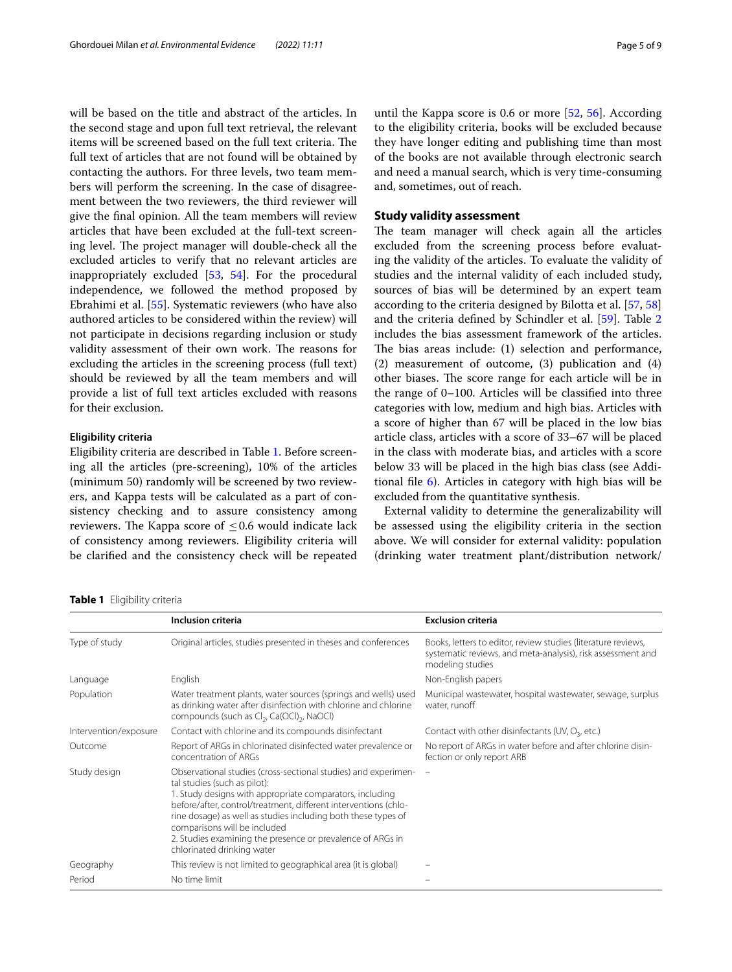will be based on the title and abstract of the articles. In the second stage and upon full text retrieval, the relevant items will be screened based on the full text criteria. The full text of articles that are not found will be obtained by contacting the authors. For three levels, two team members will perform the screening. In the case of disagreement between the two reviewers, the third reviewer will give the fnal opinion. All the team members will review articles that have been excluded at the full-text screening level. The project manager will double-check all the excluded articles to verify that no relevant articles are inappropriately excluded [[53,](#page-8-12) [54](#page-8-13)]. For the procedural independence, we followed the method proposed by Ebrahimi et al. [[55\]](#page-8-14). Systematic reviewers (who have also authored articles to be considered within the review) will not participate in decisions regarding inclusion or study validity assessment of their own work. The reasons for excluding the articles in the screening process (full text) should be reviewed by all the team members and will provide a list of full text articles excluded with reasons for their exclusion.

#### **Eligibility criteria**

Eligibility criteria are described in Table [1.](#page-4-0) Before screening all the articles (pre-screening), 10% of the articles (minimum 50) randomly will be screened by two reviewers, and Kappa tests will be calculated as a part of consistency checking and to assure consistency among reviewers. The Kappa score of  $\leq 0.6$  would indicate lack of consistency among reviewers. Eligibility criteria will be clarifed and the consistency check will be repeated

until the Kappa score is 0.6 or more [\[52](#page-8-11), [56](#page-8-15)]. According to the eligibility criteria, books will be excluded because they have longer editing and publishing time than most of the books are not available through electronic search and need a manual search, which is very time-consuming and, sometimes, out of reach.

## **Study validity assessment**

The team manager will check again all the articles excluded from the screening process before evaluating the validity of the articles. To evaluate the validity of studies and the internal validity of each included study, sources of bias will be determined by an expert team according to the criteria designed by Bilotta et al. [\[57,](#page-8-16) [58](#page-8-17)] and the criteria defned by Schindler et al. [\[59](#page-8-18)]. Table [2](#page-5-0) includes the bias assessment framework of the articles. The bias areas include: (1) selection and performance, (2) measurement of outcome, (3) publication and (4) other biases. The score range for each article will be in the range of 0–100. Articles will be classifed into three categories with low, medium and high bias. Articles with a score of higher than 67 will be placed in the low bias article class, articles with a score of 33–67 will be placed in the class with moderate bias, and articles with a score below 33 will be placed in the high bias class (see Additional file  $6$ ). Articles in category with high bias will be excluded from the quantitative synthesis.

External validity to determine the generalizability will be assessed using the eligibility criteria in the section above. We will consider for external validity: population (drinking water treatment plant/distribution network/

#### <span id="page-4-0"></span>**Table 1** Eligibility criteria

|                       | <b>Inclusion criteria</b>                                                                                                                                                                                                                                                                                                                                                                                                  | <b>Exclusion criteria</b>                                                                                                                        |
|-----------------------|----------------------------------------------------------------------------------------------------------------------------------------------------------------------------------------------------------------------------------------------------------------------------------------------------------------------------------------------------------------------------------------------------------------------------|--------------------------------------------------------------------------------------------------------------------------------------------------|
| Type of study         | Original articles, studies presented in theses and conferences                                                                                                                                                                                                                                                                                                                                                             | Books, letters to editor, review studies (literature reviews,<br>systematic reviews, and meta-analysis), risk assessment and<br>modeling studies |
| Language              | English                                                                                                                                                                                                                                                                                                                                                                                                                    | Non-English papers                                                                                                                               |
| Population            | Water treatment plants, water sources (springs and wells) used<br>as drinking water after disinfection with chlorine and chlorine<br>compounds (such as Cl <sub>2</sub> , Ca(OCl) <sub>2</sub> , NaOCl)                                                                                                                                                                                                                    | Municipal wastewater, hospital wastewater, sewage, surplus<br>water, runoff                                                                      |
| Intervention/exposure | Contact with chlorine and its compounds disinfectant                                                                                                                                                                                                                                                                                                                                                                       | Contact with other disinfectants (UV, $O_3$ , etc.)                                                                                              |
| Outcome               | Report of ARGs in chlorinated disinfected water prevalence or<br>concentration of ARGs                                                                                                                                                                                                                                                                                                                                     | No report of ARGs in water before and after chlorine disin-<br>fection or only report ARB                                                        |
| Study design          | Observational studies (cross-sectional studies) and experimen-<br>tal studies (such as pilot):<br>1. Study designs with appropriate comparators, including<br>before/after, control/treatment, different interventions (chlo-<br>rine dosage) as well as studies including both these types of<br>comparisons will be included<br>2. Studies examining the presence or prevalence of ARGs in<br>chlorinated drinking water |                                                                                                                                                  |
| Geography             | This review is not limited to geographical area (it is global)                                                                                                                                                                                                                                                                                                                                                             |                                                                                                                                                  |
| Period                | No time limit                                                                                                                                                                                                                                                                                                                                                                                                              |                                                                                                                                                  |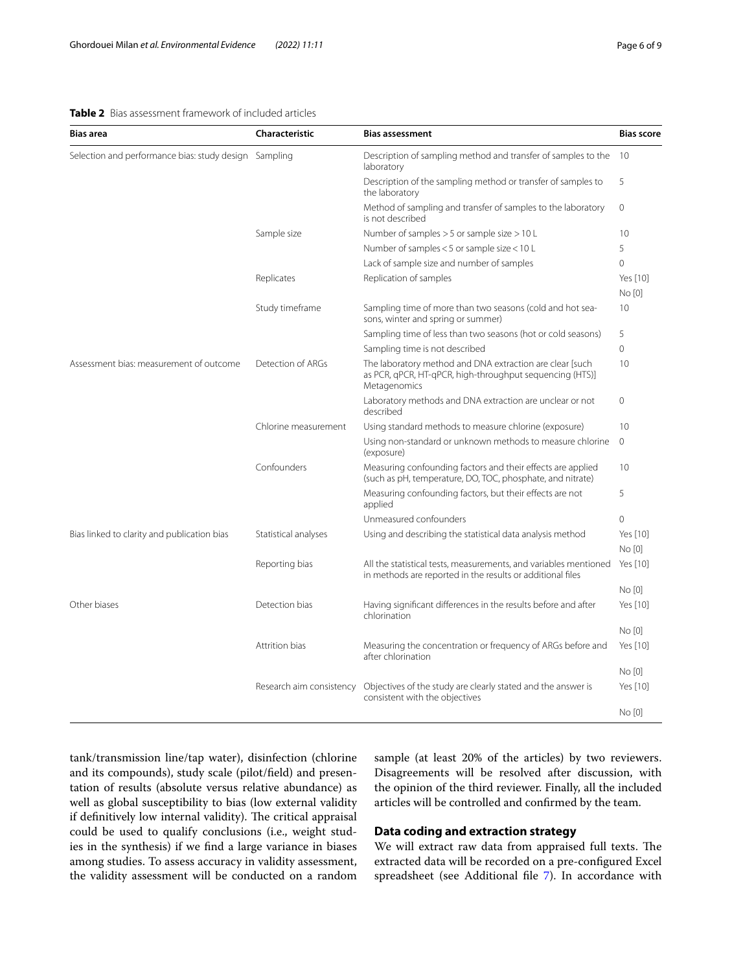## <span id="page-5-0"></span>**Table 2** Bias assessment framework of included articles

| <b>Table 2</b> Bias assessment framework of included articles<br><b>Bias area</b><br>Characteristic<br><b>Bias assessment</b><br><b>Bias score</b> |                                                                                |                                                                                    |    |  |  |
|----------------------------------------------------------------------------------------------------------------------------------------------------|--------------------------------------------------------------------------------|------------------------------------------------------------------------------------|----|--|--|
|                                                                                                                                                    |                                                                                |                                                                                    |    |  |  |
| Selection and performance bias: study design Sampling                                                                                              | Description of sampling method and transfer of samples to the 10<br>laboratory |                                                                                    |    |  |  |
|                                                                                                                                                    |                                                                                | Description of the sampling method or transfer of samples to<br>the laboratory     | -5 |  |  |
|                                                                                                                                                    |                                                                                | Method of sampling and transfer of samples to the laboratory 0<br>is not described |    |  |  |

|                                             |                          | the laboratory                                                                                                                       |              |
|---------------------------------------------|--------------------------|--------------------------------------------------------------------------------------------------------------------------------------|--------------|
|                                             |                          | Method of sampling and transfer of samples to the laboratory<br>is not described                                                     | $\mathbf{0}$ |
|                                             | Sample size              | Number of samples $>$ 5 or sample size $>$ 10 L                                                                                      | 10           |
|                                             |                          | Number of samples < 5 or sample size < 10 L                                                                                          | 5            |
|                                             |                          | Lack of sample size and number of samples                                                                                            | 0            |
|                                             | Replicates               | Replication of samples                                                                                                               | Yes [10]     |
|                                             |                          |                                                                                                                                      | No[0]        |
|                                             | Study timeframe          | Sampling time of more than two seasons (cold and hot sea-<br>sons, winter and spring or summer)                                      | 10           |
|                                             |                          | Sampling time of less than two seasons (hot or cold seasons)                                                                         | 5            |
|                                             |                          | Sampling time is not described                                                                                                       | 0            |
| Assessment bias: measurement of outcome     | Detection of ARGs        | The laboratory method and DNA extraction are clear [such<br>as PCR, qPCR, HT-qPCR, high-throughput sequencing (HTS)]<br>Metagenomics | 10           |
|                                             |                          | Laboratory methods and DNA extraction are unclear or not<br>described                                                                | 0            |
|                                             | Chlorine measurement     | Using standard methods to measure chlorine (exposure)                                                                                | 10           |
|                                             |                          | Using non-standard or unknown methods to measure chlorine<br>(exposure)                                                              | $\Omega$     |
|                                             | Confounders              | Measuring confounding factors and their effects are applied<br>(such as pH, temperature, DO, TOC, phosphate, and nitrate)            | 10           |
|                                             |                          | Measuring confounding factors, but their effects are not<br>applied                                                                  | 5            |
|                                             |                          | Unmeasured confounders                                                                                                               | 0            |
| Bias linked to clarity and publication bias | Statistical analyses     | Using and describing the statistical data analysis method                                                                            | Yes [10]     |
|                                             |                          |                                                                                                                                      | No[0]        |
|                                             | Reporting bias           | All the statistical tests, measurements, and variables mentioned<br>in methods are reported in the results or additional files       | Yes [10]     |
|                                             |                          |                                                                                                                                      | No [0]       |
| Other biases                                | Detection bias           | Having significant differences in the results before and after<br>chlorination                                                       | Yes [10]     |
|                                             |                          |                                                                                                                                      | No [0]       |
|                                             | Attrition bias           | Measuring the concentration or frequency of ARGs before and<br>after chlorination                                                    | Yes [10]     |
|                                             |                          |                                                                                                                                      | $No$ $[0]$   |
|                                             | Research aim consistency | Objectives of the study are clearly stated and the answer is<br>consistent with the objectives                                       | Yes [10]     |
|                                             |                          |                                                                                                                                      | No [0]       |
|                                             |                          |                                                                                                                                      |              |

tank/transmission line/tap water), disinfection (chlorine and its compounds), study scale (pilot/feld) and presentation of results (absolute versus relative abundance) as well as global susceptibility to bias (low external validity if definitively low internal validity). The critical appraisal could be used to qualify conclusions (i.e., weight studies in the synthesis) if we fnd a large variance in biases among studies. To assess accuracy in validity assessment, the validity assessment will be conducted on a random sample (at least 20% of the articles) by two reviewers. Disagreements will be resolved after discussion, with the opinion of the third reviewer. Finally, all the included articles will be controlled and confrmed by the team.

## **Data coding and extraction strategy**

We will extract raw data from appraised full texts. The extracted data will be recorded on a pre-confgured Excel spreadsheet (see Additional file [7](#page-6-6)). In accordance with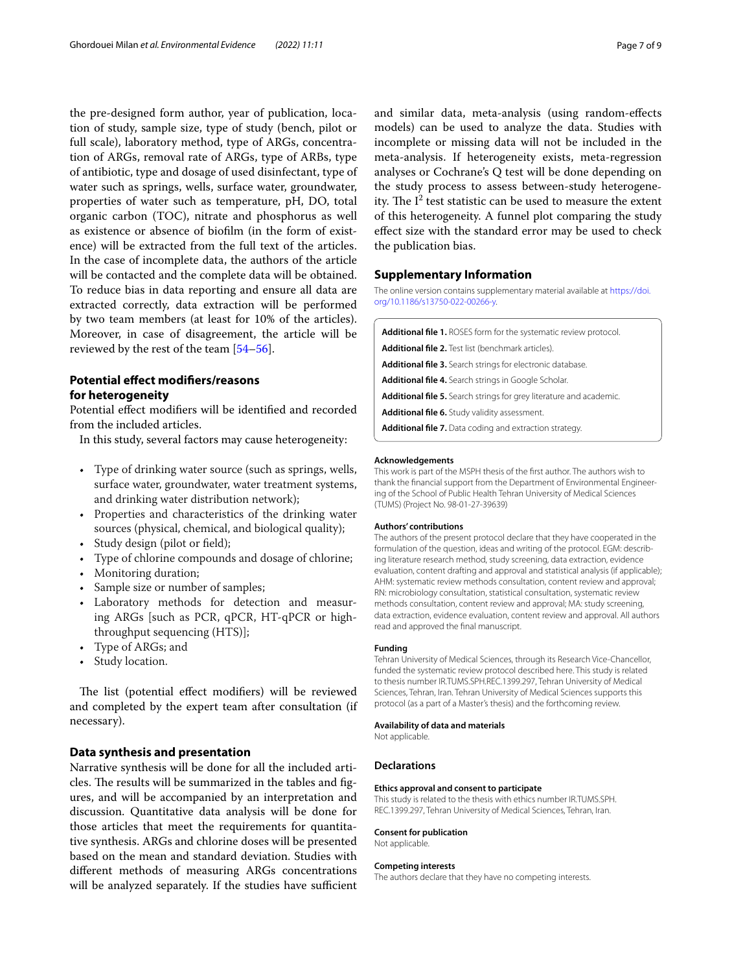the pre-designed form author, year of publication, location of study, sample size, type of study (bench, pilot or full scale), laboratory method, type of ARGs, concentration of ARGs, removal rate of ARGs, type of ARBs, type of antibiotic, type and dosage of used disinfectant, type of water such as springs, wells, surface water, groundwater, properties of water such as temperature, pH, DO, total organic carbon (TOC), nitrate and phosphorus as well as existence or absence of bioflm (in the form of existence) will be extracted from the full text of the articles. In the case of incomplete data, the authors of the article will be contacted and the complete data will be obtained. To reduce bias in data reporting and ensure all data are extracted correctly, data extraction will be performed by two team members (at least for 10% of the articles). Moreover, in case of disagreement, the article will be reviewed by the rest of the team [[54](#page-8-13)[–56](#page-8-15)].

## **Potential efect modifers/reasons for heterogeneity**

Potential efect modifers will be identifed and recorded from the included articles.

In this study, several factors may cause heterogeneity:

- Type of drinking water source (such as springs, wells, surface water, groundwater, water treatment systems, and drinking water distribution network);
- Properties and characteristics of the drinking water sources (physical, chemical, and biological quality);
- Study design (pilot or field);
- Type of chlorine compounds and dosage of chlorine;
- Monitoring duration;
- Sample size or number of samples;
- Laboratory methods for detection and measuring ARGs [such as PCR, qPCR, HT-qPCR or highthroughput sequencing (HTS)];
- Type of ARGs; and
- Study location.

The list (potential effect modifiers) will be reviewed and completed by the expert team after consultation (if necessary).

## **Data synthesis and presentation**

Narrative synthesis will be done for all the included articles. The results will be summarized in the tables and figures, and will be accompanied by an interpretation and discussion. Quantitative data analysis will be done for those articles that meet the requirements for quantitative synthesis. ARGs and chlorine doses will be presented based on the mean and standard deviation. Studies with diferent methods of measuring ARGs concentrations will be analyzed separately. If the studies have sufficient

and similar data, meta-analysis (using random-efects models) can be used to analyze the data. Studies with incomplete or missing data will not be included in the meta-analysis. If heterogeneity exists, meta-regression analyses or Cochrane's Q test will be done depending on the study process to assess between-study heterogeneity. The  $I^2$  test statistic can be used to measure the extent of this heterogeneity. A funnel plot comparing the study efect size with the standard error may be used to check the publication bias.

## **Supplementary Information**

The online version contains supplementary material available at [https://doi.](https://doi.org/10.1186/s13750-022-00266-y) [org/10.1186/s13750-022-00266-y.](https://doi.org/10.1186/s13750-022-00266-y)

<span id="page-6-2"></span><span id="page-6-1"></span><span id="page-6-0"></span>**Additional fle 1.** ROSES form for the systematic review protocol.

**Additional fle 2.** Test list (benchmark articles).

<span id="page-6-3"></span>**Additional fle 3.** Search strings for electronic database.

<span id="page-6-4"></span>**Additional fle 4.** Search strings in Google Scholar.

<span id="page-6-5"></span>**Additional fle 5.** Search strings for grey literature and academic.

**Additional fle 6.** Study validity assessment.

<span id="page-6-6"></span>**Additional fle 7.** Data coding and extraction strategy.

#### **Acknowledgements**

This work is part of the MSPH thesis of the frst author. The authors wish to thank the fnancial support from the Department of Environmental Engineering of the School of Public Health Tehran University of Medical Sciences (TUMS) (Project No. 98-01-27-39639)

#### **Authors' contributions**

The authors of the present protocol declare that they have cooperated in the formulation of the question, ideas and writing of the protocol. EGM: describing literature research method, study screening, data extraction, evidence evaluation, content drafting and approval and statistical analysis (if applicable); AHM: systematic review methods consultation, content review and approval; RN: microbiology consultation, statistical consultation, systematic review methods consultation, content review and approval; MA: study screening, data extraction, evidence evaluation, content review and approval. All authors read and approved the fnal manuscript.

#### **Funding**

Tehran University of Medical Sciences, through its Research Vice-Chancellor, funded the systematic review protocol described here. This study is related to thesis number IR.TUMS.SPH.REC.1399.297, Tehran University of Medical Sciences, Tehran, Iran. Tehran University of Medical Sciences supports this protocol (as a part of a Master's thesis) and the forthcoming review.

#### **Availability of data and materials**

Not applicable.

## **Declarations**

## **Ethics approval and consent to participate**

This study is related to the thesis with ethics number IR.TUMS.SPH. REC.1399.297, Tehran University of Medical Sciences, Tehran, Iran.

#### **Consent for publication**

Not applicable.

#### **Competing interests**

The authors declare that they have no competing interests.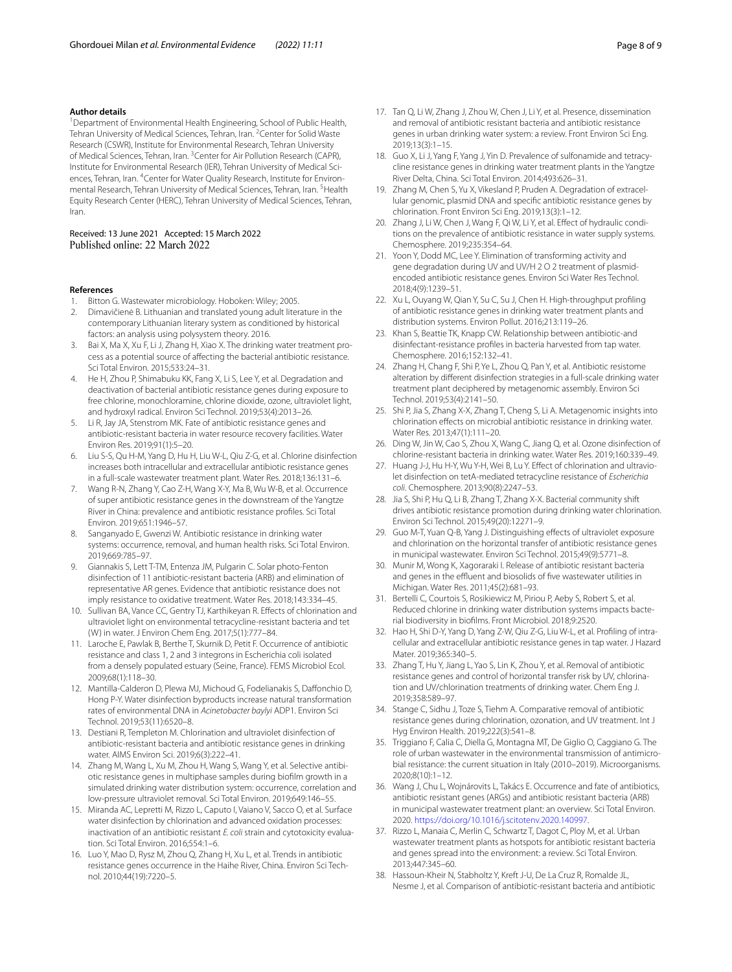#### **Author details**

<sup>1</sup> Department of Environmental Health Engineering, School of Public Health, Tehran University of Medical Sciences, Tehran, Iran. <sup>2</sup> Center for Solid Waste Research (CSWR), Institute for Environmental Research, Tehran University of Medical Sciences, Tehran, Iran. <sup>3</sup> Center for Air Pollution Research (CAPR), Institute for Environmental Research (IER), Tehran University of Medical Sciences, Tehran, Iran. <sup>4</sup>Center for Water Quality Research, Institute for Environmental Research, Tehran University of Medical Sciences, Tehran, Iran. <sup>5</sup>Health Equity Research Center (HERC), Tehran University of Medical Sciences, Tehran, Iran.

#### Received: 13 June 2021 Accepted: 15 March 2022 Published online: 22 March 2022

#### **References**

- <span id="page-7-0"></span>1. Bitton G. Wastewater microbiology. Hoboken: Wiley; 2005.
- <span id="page-7-1"></span>2. Dimavičienė B. Lithuanian and translated young adult literature in the contemporary Lithuanian literary system as conditioned by historical factors: an analysis using polysystem theory. 2016.
- <span id="page-7-2"></span>3. Bai X, Ma X, Xu F, Li J, Zhang H, Xiao X. The drinking water treatment process as a potential source of afecting the bacterial antibiotic resistance. Sci Total Environ. 2015;533:24–31.
- <span id="page-7-3"></span>4. He H, Zhou P, Shimabuku KK, Fang X, Li S, Lee Y, et al. Degradation and deactivation of bacterial antibiotic resistance genes during exposure to free chlorine, monochloramine, chlorine dioxide, ozone, ultraviolet light, and hydroxyl radical. Environ Sci Technol. 2019;53(4):2013–26.
- <span id="page-7-4"></span>5. Li R, Jay JA, Stenstrom MK. Fate of antibiotic resistance genes and antibiotic-resistant bacteria in water resource recovery facilities. Water Environ Res. 2019;91(1):5–20.
- <span id="page-7-5"></span>6. Liu S-S, Qu H-M, Yang D, Hu H, Liu W-L, Qiu Z-G, et al. Chlorine disinfection increases both intracellular and extracellular antibiotic resistance genes in a full-scale wastewater treatment plant. Water Res. 2018;136:131–6.
- <span id="page-7-6"></span>7. Wang R-N, Zhang Y, Cao Z-H, Wang X-Y, Ma B, Wu W-B, et al. Occurrence of super antibiotic resistance genes in the downstream of the Yangtze River in China: prevalence and antibiotic resistance profles. Sci Total Environ. 2019;651:1946–57.
- <span id="page-7-13"></span>8. Sanganyado E, Gwenzi W. Antibiotic resistance in drinking water systems: occurrence, removal, and human health risks. Sci Total Environ. 2019;669:785–97.
- <span id="page-7-7"></span>Giannakis S, Lett T-TM, Entenza JM, Pulgarin C. Solar photo-Fenton disinfection of 11 antibiotic-resistant bacteria (ARB) and elimination of representative AR genes. Evidence that antibiotic resistance does not imply resistance to oxidative treatment. Water Res. 2018;143:334–45.
- <span id="page-7-8"></span>10. Sullivan BA, Vance CC, Gentry TJ, Karthikeyan R. Efects of chlorination and ultraviolet light on environmental tetracycline-resistant bacteria and tet (W) in water. J Environ Chem Eng. 2017;5(1):777–84.
- <span id="page-7-9"></span>11. Laroche E, Pawlak B, Berthe T, Skurnik D, Petit F. Occurrence of antibiotic resistance and class 1, 2 and 3 integrons in Escherichia coli isolated from a densely populated estuary (Seine, France). FEMS Microbiol Ecol. 2009;68(1):118–30.
- <span id="page-7-10"></span>12. Mantilla-Calderon D, Plewa MJ, Michoud G, Fodelianakis S, Daffonchio D, Hong P-Y. Water disinfection byproducts increase natural transformation rates of environmental DNA in *Acinetobacter baylyi* ADP1. Environ Sci Technol. 2019;53(11):6520–8.
- <span id="page-7-11"></span>13. Destiani R, Templeton M. Chlorination and ultraviolet disinfection of antibiotic-resistant bacteria and antibiotic resistance genes in drinking water. AIMS Environ Sci. 2019;6(3):222–41.
- <span id="page-7-12"></span>14. Zhang M, Wang L, Xu M, Zhou H, Wang S, Wang Y, et al. Selective antibiotic resistance genes in multiphase samples during bioflm growth in a simulated drinking water distribution system: occurrence, correlation and low-pressure ultraviolet removal. Sci Total Environ. 2019;649:146–55.
- <span id="page-7-14"></span>15. Miranda AC, Lepretti M, Rizzo L, Caputo I, Vaiano V, Sacco O, et al. Surface water disinfection by chlorination and advanced oxidation processes: inactivation of an antibiotic resistant *E. coli* strain and cytotoxicity evaluation. Sci Total Environ. 2016;554:1–6.
- <span id="page-7-15"></span>16. Luo Y, Mao D, Rysz M, Zhou Q, Zhang H, Xu L, et al. Trends in antibiotic resistance genes occurrence in the Haihe River, China. Environ Sci Technol. 2010;44(19):7220–5.
- <span id="page-7-16"></span>17. Tan Q, Li W, Zhang J, Zhou W, Chen J, Li Y, et al. Presence, dissemination and removal of antibiotic resistant bacteria and antibiotic resistance genes in urban drinking water system: a review. Front Environ Sci Eng. 2019;13(3):1–15.
- <span id="page-7-17"></span>18. Guo X, Li J, Yang F, Yang J, Yin D. Prevalence of sulfonamide and tetracycline resistance genes in drinking water treatment plants in the Yangtze River Delta, China. Sci Total Environ. 2014;493:626–31.
- 19. Zhang M, Chen S, Yu X, Vikesland P, Pruden A. Degradation of extracellular genomic, plasmid DNA and specifc antibiotic resistance genes by chlorination. Front Environ Sci Eng. 2019;13(3):1–12.
- <span id="page-7-27"></span>20. Zhang J, Li W, Chen J, Wang F, Qi W, Li Y, et al. Effect of hydraulic conditions on the prevalence of antibiotic resistance in water supply systems. Chemosphere. 2019;235:354–64.
- <span id="page-7-18"></span>21. Yoon Y, Dodd MC, Lee Y. Elimination of transforming activity and gene degradation during UV and UV/H 2 O 2 treatment of plasmidencoded antibiotic resistance genes. Environ Sci Water Res Technol. 2018;4(9):1239–51.
- <span id="page-7-19"></span>22. Xu L, Ouyang W, Qian Y, Su C, Su J, Chen H. High-throughput profling of antibiotic resistance genes in drinking water treatment plants and distribution systems. Environ Pollut. 2016;213:119–26.
- <span id="page-7-20"></span>23. Khan S, Beattie TK, Knapp CW. Relationship between antibiotic-and disinfectant-resistance profles in bacteria harvested from tap water. Chemosphere. 2016;152:132–41.
- <span id="page-7-21"></span>24. Zhang H, Chang F, Shi P, Ye L, Zhou Q, Pan Y, et al. Antibiotic resistome alteration by diferent disinfection strategies in a full-scale drinking water treatment plant deciphered by metagenomic assembly. Environ Sci Technol. 2019;53(4):2141–50.
- <span id="page-7-22"></span>25. Shi P, Jia S, Zhang X-X, Zhang T, Cheng S, Li A. Metagenomic insights into chlorination efects on microbial antibiotic resistance in drinking water. Water Res. 2013;47(1):111–20.
- <span id="page-7-23"></span>26. Ding W, Jin W, Cao S, Zhou X, Wang C, Jiang Q, et al. Ozone disinfection of chlorine-resistant bacteria in drinking water. Water Res. 2019;160:339–49.
- <span id="page-7-24"></span>27. Huang J-J, Hu H-Y, Wu Y-H, Wei B, Lu Y. Efect of chlorination and ultraviolet disinfection on tetA-mediated tetracycline resistance of *Escherichia coli*. Chemosphere. 2013;90(8):2247–53.
- <span id="page-7-25"></span>28. Jia S, Shi P, Hu Q, Li B, Zhang T, Zhang X-X. Bacterial community shift drives antibiotic resistance promotion during drinking water chlorination. Environ Sci Technol. 2015;49(20):12271–9.
- <span id="page-7-26"></span>29. Guo M-T, Yuan Q-B, Yang J. Distinguishing efects of ultraviolet exposure and chlorination on the horizontal transfer of antibiotic resistance genes in municipal wastewater. Environ Sci Technol. 2015;49(9):5771–8.
- <span id="page-7-28"></span>30. Munir M, Wong K, Xagoraraki I. Release of antibiotic resistant bacteria and genes in the effluent and biosolids of five wastewater utilities in Michigan. Water Res. 2011;45(2):681–93.
- <span id="page-7-29"></span>31. Bertelli C, Courtois S, Rosikiewicz M, Piriou P, Aeby S, Robert S, et al. Reduced chlorine in drinking water distribution systems impacts bacterial biodiversity in bioflms. Front Microbiol. 2018;9:2520.
- 32. Hao H, Shi D-Y, Yang D, Yang Z-W, Qiu Z-G, Liu W-L, et al. Profling of intracellular and extracellular antibiotic resistance genes in tap water. J Hazard Mater. 2019;365:340–5.
- 33. Zhang T, Hu Y, Jiang L, Yao S, Lin K, Zhou Y, et al. Removal of antibiotic resistance genes and control of horizontal transfer risk by UV, chlorination and UV/chlorination treatments of drinking water. Chem Eng J. 2019;358:589–97.
- <span id="page-7-30"></span>34. Stange C, Sidhu J, Toze S, Tiehm A. Comparative removal of antibiotic resistance genes during chlorination, ozonation, and UV treatment. Int J Hyg Environ Health. 2019;222(3):541–8.
- <span id="page-7-31"></span>35. Triggiano F, Calia C, Diella G, Montagna MT, De Giglio O, Caggiano G. The role of urban wastewater in the environmental transmission of antimicrobial resistance: the current situation in Italy (2010–2019). Microorganisms. 2020;8(10):1–12.
- 36. Wang J, Chu L, Wojnárovits L, Takács E. Occurrence and fate of antibiotics, antibiotic resistant genes (ARGs) and antibiotic resistant bacteria (ARB) in municipal wastewater treatment plant: an overview. Sci Total Environ. 2020.<https://doi.org/10.1016/j.scitotenv.2020.140997>.
- 37. Rizzo L, Manaia C, Merlin C, Schwartz T, Dagot C, Ploy M, et al. Urban wastewater treatment plants as hotspots for antibiotic resistant bacteria and genes spread into the environment: a review. Sci Total Environ. 2013;447:345–60.
- 38. Hassoun-Kheir N, Stabholtz Y, Kreft J-U, De La Cruz R, Romalde JL, Nesme J, et al. Comparison of antibiotic-resistant bacteria and antibiotic